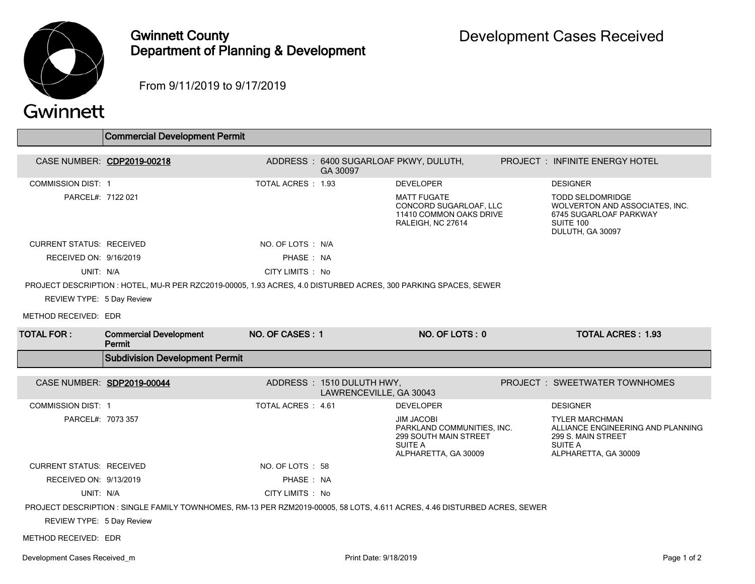

## Gwinnett County Department of Planning & Development

From 9/11/2019 to 9/17/2019

## Gwinnett

|                                 | <b>Commercial Development Permit</b>                                                                                      |                    |                                                      |                                                                                                             |  |                                                                                                                            |  |  |
|---------------------------------|---------------------------------------------------------------------------------------------------------------------------|--------------------|------------------------------------------------------|-------------------------------------------------------------------------------------------------------------|--|----------------------------------------------------------------------------------------------------------------------------|--|--|
|                                 | CASE NUMBER: CDP2019-00218                                                                                                |                    | GA 30097                                             | ADDRESS: 6400 SUGARLOAF PKWY, DULUTH,                                                                       |  | PROJECT : INFINITE ENERGY HOTEL                                                                                            |  |  |
| <b>COMMISSION DIST: 1</b>       |                                                                                                                           | TOTAL ACRES : 1.93 |                                                      | <b>DEVELOPER</b>                                                                                            |  | <b>DESIGNER</b>                                                                                                            |  |  |
| PARCEL#: 7122 021               |                                                                                                                           |                    |                                                      | <b>MATT FUGATE</b><br>CONCORD SUGARLOAF, LLC<br>11410 COMMON OAKS DRIVE<br>RALEIGH, NC 27614                |  | <b>TODD SELDOMRIDGE</b><br>WOLVERTON AND ASSOCIATES, INC.<br>6745 SUGARLOAF PARKWAY<br>SUITE 100<br>DULUTH, GA 30097       |  |  |
| <b>CURRENT STATUS: RECEIVED</b> |                                                                                                                           | NO. OF LOTS : N/A  |                                                      |                                                                                                             |  |                                                                                                                            |  |  |
| RECEIVED ON: 9/16/2019          |                                                                                                                           | PHASE: NA          |                                                      |                                                                                                             |  |                                                                                                                            |  |  |
| UNIT: N/A                       |                                                                                                                           | CITY LIMITS : No   |                                                      |                                                                                                             |  |                                                                                                                            |  |  |
|                                 | PROJECT DESCRIPTION : HOTEL, MU-R PER RZC2019-00005, 1.93 ACRES, 4.0 DISTURBED ACRES, 300 PARKING SPACES, SEWER           |                    |                                                      |                                                                                                             |  |                                                                                                                            |  |  |
| REVIEW TYPE: 5 Day Review       |                                                                                                                           |                    |                                                      |                                                                                                             |  |                                                                                                                            |  |  |
| METHOD RECEIVED: EDR            |                                                                                                                           |                    |                                                      |                                                                                                             |  |                                                                                                                            |  |  |
| <b>TOTAL FOR :</b>              | <b>Commercial Development</b><br>Permit                                                                                   | NO. OF CASES: 1    |                                                      | NO. OF LOTS: 0                                                                                              |  | <b>TOTAL ACRES: 1.93</b>                                                                                                   |  |  |
|                                 | <b>Subdivision Development Permit</b>                                                                                     |                    |                                                      |                                                                                                             |  |                                                                                                                            |  |  |
|                                 | CASE NUMBER: SDP2019-00044                                                                                                |                    | ADDRESS: 1510 DULUTH HWY,<br>LAWRENCEVILLE, GA 30043 |                                                                                                             |  | PROJECT: SWEETWATER TOWNHOMES                                                                                              |  |  |
| <b>COMMISSION DIST: 1</b>       |                                                                                                                           | TOTAL ACRES : 4.61 |                                                      | <b>DEVELOPER</b>                                                                                            |  | <b>DESIGNER</b>                                                                                                            |  |  |
| PARCEL#: 7073 357               |                                                                                                                           |                    |                                                      | <b>JIM JACOBI</b><br>PARKLAND COMMUNITIES. INC.<br>299 SOUTH MAIN STREET<br>SUITE A<br>ALPHARETTA, GA 30009 |  | <b>TYLER MARCHMAN</b><br>ALLIANCE ENGINEERING AND PLANNING<br>299 S. MAIN STREET<br><b>SUITE A</b><br>ALPHARETTA, GA 30009 |  |  |
| <b>CURRENT STATUS: RECEIVED</b> |                                                                                                                           | NO. OF LOTS: 58    |                                                      |                                                                                                             |  |                                                                                                                            |  |  |
| RECEIVED ON: 9/13/2019          |                                                                                                                           | PHASE: NA          |                                                      |                                                                                                             |  |                                                                                                                            |  |  |
| UNIT: N/A                       |                                                                                                                           | CITY LIMITS : No   |                                                      |                                                                                                             |  |                                                                                                                            |  |  |
|                                 | PROJECT DESCRIPTION : SINGLE FAMILY TOWNHOMES, RM-13 PER RZM2019-00005, 58 LOTS, 4.611 ACRES, 4.46 DISTURBED ACRES, SEWER |                    |                                                      |                                                                                                             |  |                                                                                                                            |  |  |
| REVIEW TYPE: 5 Day Review       |                                                                                                                           |                    |                                                      |                                                                                                             |  |                                                                                                                            |  |  |
| METHOD RECEIVED: EDR            |                                                                                                                           |                    |                                                      |                                                                                                             |  |                                                                                                                            |  |  |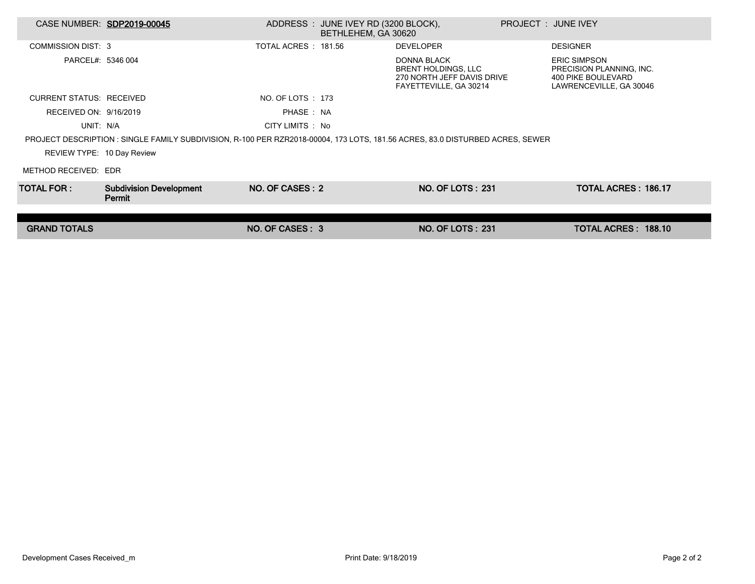| CASE NUMBER: SDP2019-00045                                                                                                    |                                          |                      | ADDRESS : JUNE IVEY RD (3200 BLOCK),<br>BETHLEHEM, GA 30620 |                                                                                                          | PROJECT : JUNE IVEY |                                                                                                  |  |  |  |
|-------------------------------------------------------------------------------------------------------------------------------|------------------------------------------|----------------------|-------------------------------------------------------------|----------------------------------------------------------------------------------------------------------|---------------------|--------------------------------------------------------------------------------------------------|--|--|--|
| <b>COMMISSION DIST: 3</b>                                                                                                     |                                          | TOTAL ACRES : 181.56 |                                                             | <b>DEVELOPER</b>                                                                                         |                     | <b>DESIGNER</b>                                                                                  |  |  |  |
| PARCEL#: 5346 004                                                                                                             |                                          |                      |                                                             | <b>DONNA BLACK</b><br><b>BRENT HOLDINGS, LLC</b><br>270 NORTH JEFF DAVIS DRIVE<br>FAYETTEVILLE, GA 30214 |                     | <b>ERIC SIMPSON</b><br>PRECISION PLANNING, INC.<br>400 PIKE BOULEVARD<br>LAWRENCEVILLE, GA 30046 |  |  |  |
| <b>CURRENT STATUS: RECEIVED</b>                                                                                               |                                          | NO. OF LOTS : 173    |                                                             |                                                                                                          |                     |                                                                                                  |  |  |  |
| RECEIVED ON: 9/16/2019                                                                                                        |                                          | PHASE: NA            |                                                             |                                                                                                          |                     |                                                                                                  |  |  |  |
| UNIT: N/A                                                                                                                     |                                          | CITY LIMITS : No     |                                                             |                                                                                                          |                     |                                                                                                  |  |  |  |
| PROJECT DESCRIPTION : SINGLE FAMILY SUBDIVISION, R-100 PER RZR2018-00004, 173 LOTS, 181.56 ACRES, 83.0 DISTURBED ACRES, SEWER |                                          |                      |                                                             |                                                                                                          |                     |                                                                                                  |  |  |  |
| REVIEW TYPE: 10 Day Review                                                                                                    |                                          |                      |                                                             |                                                                                                          |                     |                                                                                                  |  |  |  |
| METHOD RECEIVED: EDR                                                                                                          |                                          |                      |                                                             |                                                                                                          |                     |                                                                                                  |  |  |  |
| TOTAL FOR : I                                                                                                                 | <b>Subdivision Development</b><br>Permit | NO. OF CASES: 2      |                                                             | <b>NO. OF LOTS: 231</b>                                                                                  |                     | <b>TOTAL ACRES: 186.17</b>                                                                       |  |  |  |
|                                                                                                                               |                                          |                      |                                                             |                                                                                                          |                     |                                                                                                  |  |  |  |
| <b>GRAND TOTALS</b>                                                                                                           |                                          | NO. OF CASES: 3      |                                                             | <b>NO. OF LOTS: 231</b>                                                                                  |                     | TOTAL ACRES: 188.10                                                                              |  |  |  |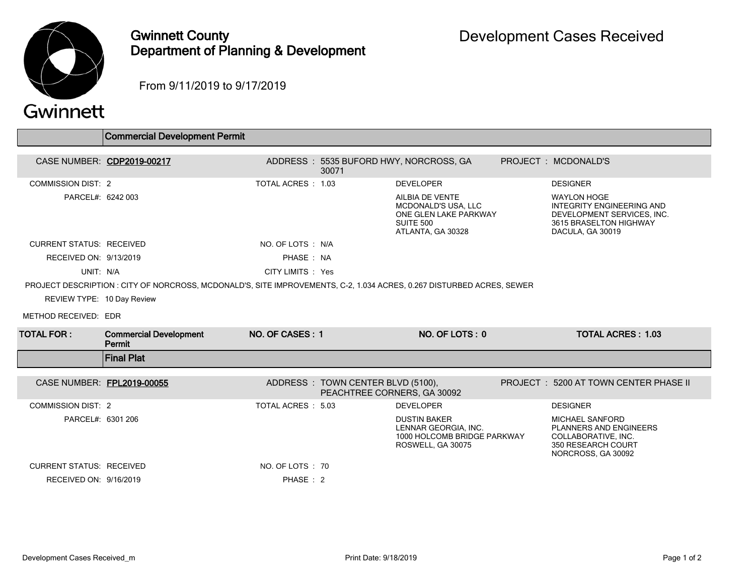

## Gwinnett County Department of Planning & Development

From 9/11/2019 to 9/17/2019

## Gwinnett

|                                 | Commercial Development Permit                                                                                         |                    |                                                                  |                                                                                                                 |                                                                                                                             |
|---------------------------------|-----------------------------------------------------------------------------------------------------------------------|--------------------|------------------------------------------------------------------|-----------------------------------------------------------------------------------------------------------------|-----------------------------------------------------------------------------------------------------------------------------|
|                                 | CASE NUMBER: CDP2019-00217                                                                                            |                    |                                                                  | ADDRESS: 5535 BUFORD HWY, NORCROSS, GA                                                                          | PROJECT : MCDONALD'S                                                                                                        |
|                                 |                                                                                                                       |                    | 30071                                                            |                                                                                                                 |                                                                                                                             |
| <b>COMMISSION DIST: 2</b>       |                                                                                                                       | TOTAL ACRES: 1.03  |                                                                  | <b>DEVELOPER</b>                                                                                                | <b>DESIGNER</b>                                                                                                             |
| PARCEL#: 6242 003               |                                                                                                                       |                    |                                                                  | AILBIA DE VENTE<br><b>MCDONALD'S USA, LLC</b><br>ONE GLEN LAKE PARKWAY<br><b>SUITE 500</b><br>ATLANTA, GA 30328 | <b>WAYLON HOGE</b><br>INTEGRITY ENGINEERING AND<br>DEVELOPMENT SERVICES, INC.<br>3615 BRASELTON HIGHWAY<br>DACULA, GA 30019 |
| <b>CURRENT STATUS: RECEIVED</b> |                                                                                                                       | NO. OF LOTS : N/A  |                                                                  |                                                                                                                 |                                                                                                                             |
| RECEIVED ON: 9/13/2019          |                                                                                                                       | PHASE: NA          |                                                                  |                                                                                                                 |                                                                                                                             |
| UNIT: N/A                       |                                                                                                                       | CITY LIMITS : Yes  |                                                                  |                                                                                                                 |                                                                                                                             |
|                                 | PROJECT DESCRIPTION : CITY OF NORCROSS, MCDONALD'S, SITE IMPROVEMENTS, C-2, 1.034 ACRES, 0.267 DISTURBED ACRES, SEWER |                    |                                                                  |                                                                                                                 |                                                                                                                             |
| REVIEW TYPE: 10 Day Review      |                                                                                                                       |                    |                                                                  |                                                                                                                 |                                                                                                                             |
| METHOD RECEIVED: EDR            |                                                                                                                       |                    |                                                                  |                                                                                                                 |                                                                                                                             |
| TOTAL FOR :                     | <b>Commercial Development</b><br>Permit                                                                               | NO. OF CASES: 1    |                                                                  | NO. OF LOTS: 0                                                                                                  | <b>TOTAL ACRES: 1.03</b>                                                                                                    |
|                                 | <b>Final Plat</b>                                                                                                     |                    |                                                                  |                                                                                                                 |                                                                                                                             |
| CASE NUMBER: FPL2019-00055      |                                                                                                                       |                    | ADDRESS: TOWN CENTER BLVD (5100),<br>PEACHTREE CORNERS, GA 30092 |                                                                                                                 | PROJECT: 5200 AT TOWN CENTER PHASE II                                                                                       |
| <b>COMMISSION DIST: 2</b>       |                                                                                                                       | TOTAL ACRES : 5.03 |                                                                  | <b>DEVELOPER</b>                                                                                                | <b>DESIGNER</b>                                                                                                             |
| PARCEL#: 6301 206               |                                                                                                                       |                    |                                                                  | <b>DUSTIN BAKER</b><br>LENNAR GEORGIA. INC.<br>1000 HOLCOMB BRIDGE PARKWAY<br>ROSWELL, GA 30075                 | MICHAEL SANFORD<br>PLANNERS AND ENGINEERS<br>COLLABORATIVE, INC.<br>350 RESEARCH COURT<br>NORCROSS, GA 30092                |
| <b>CURRENT STATUS: RECEIVED</b> |                                                                                                                       | NO. OF LOTS : 70   |                                                                  |                                                                                                                 |                                                                                                                             |
| RECEIVED ON: 9/16/2019          |                                                                                                                       | PHASE: 2           |                                                                  |                                                                                                                 |                                                                                                                             |